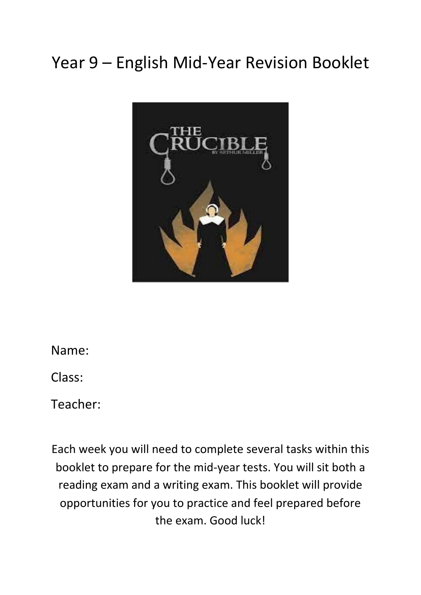# Year 9 – English Mid-Year Revision Booklet



Name:

Class:

Teacher:

Each week you will need to complete several tasks within this booklet to prepare for the mid-year tests. You will sit both a reading exam and a writing exam. This booklet will provide opportunities for you to practice and feel prepared before the exam. Good luck!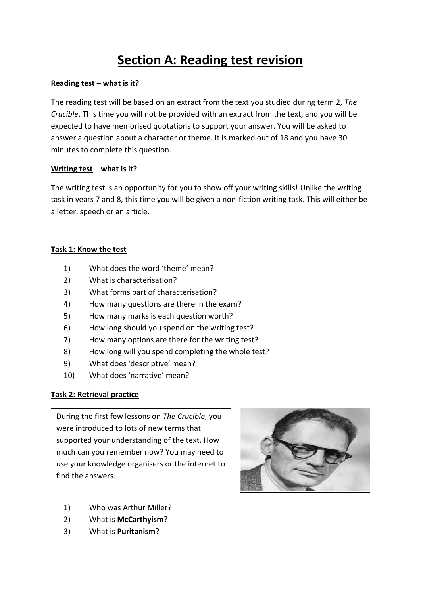# **Section A: Reading test revision**

#### **Reading test – what is it?**

The reading test will be based on an extract from the text you studied during term 2, *The Crucible*. This time you will not be provided with an extract from the text, and you will be expected to have memorised quotations to support your answer. You will be asked to answer a question about a character or theme. It is marked out of 18 and you have 30 minutes to complete this question.

#### **Writing test** – **what is it?**

The writing test is an opportunity for you to show off your writing skills! Unlike the writing task in years 7 and 8, this time you will be given a non-fiction writing task. This will either be a letter, speech or an article.

#### **Task 1: Know the test**

- 1) What does the word 'theme' mean?
- 2) What is characterisation?
- 3) What forms part of characterisation?
- 4) How many questions are there in the exam?
- 5) How many marks is each question worth?
- 6) How long should you spend on the writing test?
- 7) How many options are there for the writing test?
- 8) How long will you spend completing the whole test?
- 9) What does 'descriptive' mean?
- 10) What does 'narrative' mean?

#### **Task 2: Retrieval practice**

During the first few lessons on *The Crucible*, you were introduced to lots of new terms that supported your understanding of the text. How much can you remember now? You may need to use your knowledge organisers or the internet to find the answers.



- 1) Who was Arthur Miller?
- 2) What is **McCarthyism**?
- 3) What is **Puritanism**?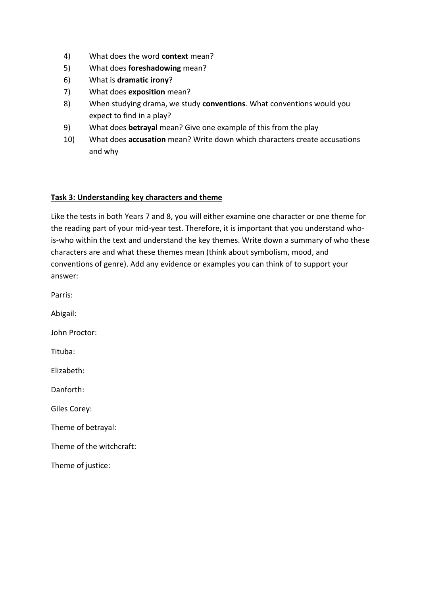- 4) What does the word **context** mean?
- 5) What does **foreshadowing** mean?
- 6) What is **dramatic irony**?
- 7) What does **exposition** mean?
- 8) When studying drama, we study **conventions**. What conventions would you expect to find in a play?
- 9) What does **betrayal** mean? Give one example of this from the play
- 10) What does **accusation** mean? Write down which characters create accusations and why

#### **Task 3: Understanding key characters and theme**

Like the tests in both Years 7 and 8, you will either examine one character or one theme for the reading part of your mid-year test. Therefore, it is important that you understand whois-who within the text and understand the key themes. Write down a summary of who these characters are and what these themes mean (think about symbolism, mood, and conventions of genre). Add any evidence or examples you can think of to support your answer:

Parris: Abigail: John Proctor: Tituba: Elizabeth: Danforth: Giles Corey: Theme of betrayal: Theme of the witchcraft: Theme of justice: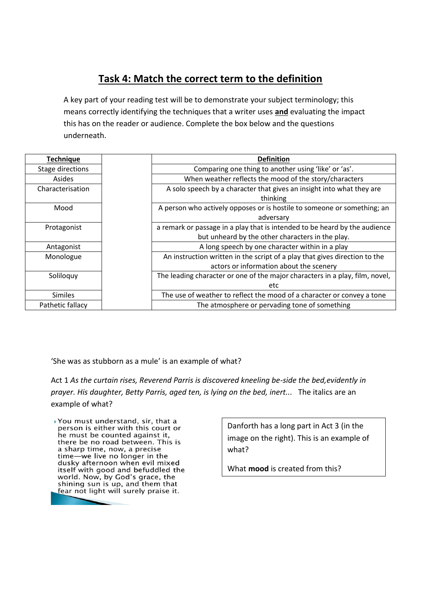## **Task 4: Match the correct term to the definition**

A key part of your reading test will be to demonstrate your subject terminology; this means correctly identifying the techniques that a writer uses **and** evaluating the impact this has on the reader or audience. Complete the box below and the questions underneath.

| <b>Technique</b> | <b>Definition</b>                                                            |  |
|------------------|------------------------------------------------------------------------------|--|
| Stage directions | Comparing one thing to another using 'like' or 'as'.                         |  |
| Asides           | When weather reflects the mood of the story/characters                       |  |
| Characterisation | A solo speech by a character that gives an insight into what they are        |  |
|                  | thinking                                                                     |  |
| Mood             | A person who actively opposes or is hostile to someone or something; an      |  |
|                  | adversary                                                                    |  |
| Protagonist      | a remark or passage in a play that is intended to be heard by the audience   |  |
|                  | but unheard by the other characters in the play.                             |  |
| Antagonist       | A long speech by one character within in a play                              |  |
| Monologue        | An instruction written in the script of a play that gives direction to the   |  |
|                  | actors or information about the scenery                                      |  |
| Soliloquy        | The leading character or one of the major characters in a play, film, novel, |  |
|                  | etc                                                                          |  |
| <b>Similes</b>   | The use of weather to reflect the mood of a character or convey a tone       |  |
| Pathetic fallacy | The atmosphere or pervading tone of something                                |  |

'She was as stubborn as a mule' is an example of what?

Act 1 *As the curtain rises, Reverend Parris is discovered kneeling be-side the bed,evidently in prayer. His daughter, Betty Parris, aged ten, is lying on the bed, inert...* The italics are an example of what?

▶ You must understand, sir, that a person is either with this court or he must be counted against it, there be no road between. This is a sharp time, now, a precise time-we live no longer in the dusky afternoon when evil mixed itself with good and befuddled the world. Now, by God's grace, the shining sun is up, and them that fear not light will surely praise it.

Danforth has a long part in Act 3 (in the image on the right). This is an example of what?

What **mood** is created from this?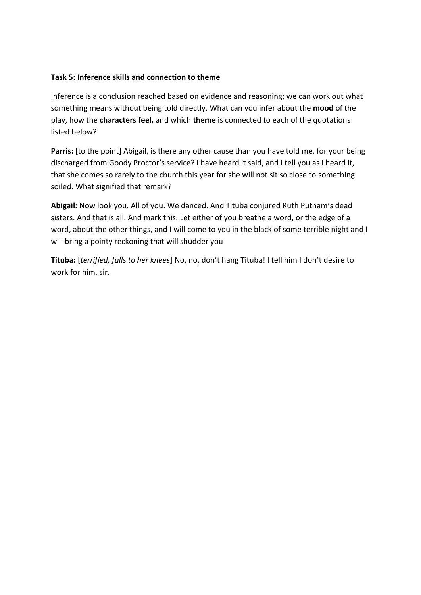#### **Task 5: Inference skills and connection to theme**

Inference is a conclusion reached based on evidence and reasoning; we can work out what something means without being told directly. What can you infer about the **mood** of the play, how the **characters feel,** and which **theme** is connected to each of the quotations listed below?

Parris: [to the point] Abigail, is there any other cause than you have told me, for your being discharged from Goody Proctor's service? I have heard it said, and I tell you as I heard it, that she comes so rarely to the church this year for she will not sit so close to something soiled. What signified that remark?

**Abigail:** Now look you. All of you. We danced. And Tituba conjured Ruth Putnam's dead sisters. And that is all. And mark this. Let either of you breathe a word, or the edge of a word, about the other things, and I will come to you in the black of some terrible night and I will bring a pointy reckoning that will shudder you

**Tituba:** [*terrified, falls to her knees*] No, no, don't hang Tituba! I tell him I don't desire to work for him, sir.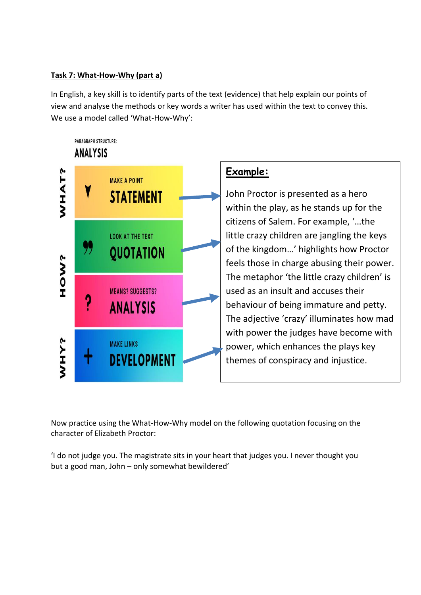#### **Task 7: What-How-Why (part a)**

In English, a key skill is to identify parts of the text (evidence) that help explain our points of view and analyse the methods or key words a writer has used within the text to convey this. We use a model called 'What-How-Why':

#### **PARAGRAPH STRUCTURE: ANALYSIS**



### **Example:**

John Proctor is presented as a hero within the play, as he stands up for the citizens of Salem. For example, '…the little crazy children are jangling the keys of the kingdom…' highlights how Proctor feels those in charge abusing their power. The metaphor 'the little crazy children' is used as an insult and accuses their behaviour of being immature and petty. The adjective 'crazy' illuminates how mad with power the judges have become with power, which enhances the plays key themes of conspiracy and injustice.

Now practice using the What-How-Why model on the following quotation focusing on the character of Elizabeth Proctor:

'I do not judge you. The magistrate sits in your heart that judges you. I never thought you but a good man, John – only somewhat bewildered'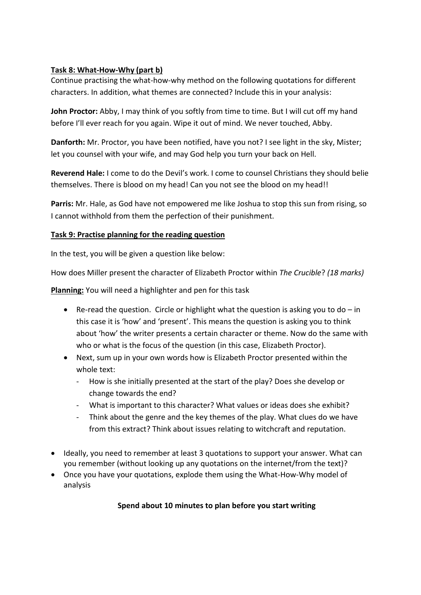#### **Task 8: What-How-Why (part b)**

Continue practising the what-how-why method on the following quotations for different characters. In addition, what themes are connected? Include this in your analysis:

**John Proctor:** Abby, I may think of you softly from time to time. But I will cut off my hand before I'll ever reach for you again. Wipe it out of mind. We never touched, Abby.

**Danforth:** Mr. Proctor, you have been notified, have you not? I see light in the sky, Mister; let you counsel with your wife, and may God help you turn your back on Hell.

**Reverend Hale:** I come to do the Devil's work. I come to counsel Christians they should belie themselves. There is blood on my head! Can you not see the blood on my head!!

**Parris:** Mr. Hale, as God have not empowered me like Joshua to stop this sun from rising, so I cannot withhold from them the perfection of their punishment.

#### **Task 9: Practise planning for the reading question**

In the test, you will be given a question like below:

How does Miller present the character of Elizabeth Proctor within *The Crucible*? *(18 marks)*

**Planning:** You will need a highlighter and pen for this task

- Re-read the question. Circle or highlight what the question is asking you to do  $-$  in this case it is 'how' and 'present'. This means the question is asking you to think about 'how' the writer presents a certain character or theme. Now do the same with who or what is the focus of the question (in this case, Elizabeth Proctor).
- Next, sum up in your own words how is Elizabeth Proctor presented within the whole text:
	- How is she initially presented at the start of the play? Does she develop or change towards the end?
	- What is important to this character? What values or ideas does she exhibit?
	- Think about the genre and the key themes of the play. What clues do we have from this extract? Think about issues relating to witchcraft and reputation.
- Ideally, you need to remember at least 3 quotations to support your answer. What can you remember (without looking up any quotations on the internet/from the text)?
- Once you have your quotations, explode them using the What-How-Why model of analysis

#### **Spend about 10 minutes to plan before you start writing**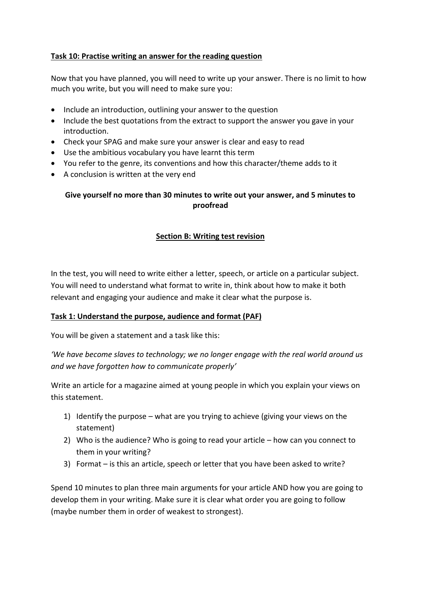#### **Task 10: Practise writing an answer for the reading question**

Now that you have planned, you will need to write up your answer. There is no limit to how much you write, but you will need to make sure you:

- Include an introduction, outlining your answer to the question
- Include the best quotations from the extract to support the answer you gave in your introduction.
- Check your SPAG and make sure your answer is clear and easy to read
- Use the ambitious vocabulary you have learnt this term
- You refer to the genre, its conventions and how this character/theme adds to it
- A conclusion is written at the very end

#### **Give yourself no more than 30 minutes to write out your answer, and 5 minutes to proofread**

#### **Section B: Writing test revision**

In the test, you will need to write either a letter, speech, or article on a particular subject. You will need to understand what format to write in, think about how to make it both relevant and engaging your audience and make it clear what the purpose is.

#### **Task 1: Understand the purpose, audience and format (PAF)**

You will be given a statement and a task like this:

*'We have become slaves to technology; we no longer engage with the real world around us and we have forgotten how to communicate properly'*

Write an article for a magazine aimed at young people in which you explain your views on this statement.

- 1) Identify the purpose what are you trying to achieve (giving your views on the statement)
- 2) Who is the audience? Who is going to read your article how can you connect to them in your writing?
- 3) Format is this an article, speech or letter that you have been asked to write?

Spend 10 minutes to plan three main arguments for your article AND how you are going to develop them in your writing. Make sure it is clear what order you are going to follow (maybe number them in order of weakest to strongest).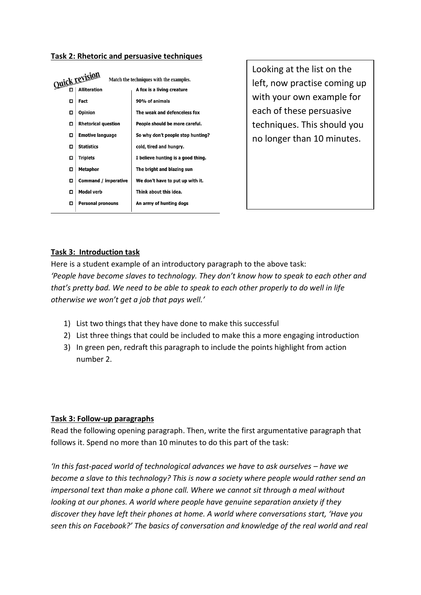#### **Task 2: Rhetoric and persuasive techniques**

| <u>Quick revision</u> |                            | Match the techniques with the examples. |  |
|-----------------------|----------------------------|-----------------------------------------|--|
| □                     | <b>Alliteration</b>        | A fox is a living creature              |  |
| □                     | Fact                       | 90% of animals                          |  |
| □                     | Opinion                    | The weak and defenceless fox            |  |
| ◘                     | <b>Rhetorical question</b> | People should be more careful.          |  |
| □                     | <b>Emotive language</b>    | So why don't people stop hunting?       |  |
| □                     | <b>Statistics</b>          | cold, tired and hungry.                 |  |
| ◘                     | <b>Triplets</b>            | I believe hunting is a good thing.      |  |
| ◻                     | <b>Metaphor</b>            | The bright and blazing sun              |  |
| о                     | Command / imperative       | We don't have to put up with it.        |  |
| ◻                     | <b>Modal verb</b>          | Think about this idea.                  |  |
| □                     | <b>Personal pronouns</b>   | An army of hunting dogs                 |  |
|                       |                            |                                         |  |

Looking at the list on the left, now practise coming up with your own example for each of these persuasive techniques. This should you no longer than 10 minutes.

#### **Task 3: Introduction task**

Here is a student example of an introductory paragraph to the above task: *'People have become slaves to technology. They don't know how to speak to each other and that's pretty bad. We need to be able to speak to each other properly to do well in life otherwise we won't get a job that pays well.'*

- 1) List two things that they have done to make this successful
- 2) List three things that could be included to make this a more engaging introduction
- 3) In green pen, redraft this paragraph to include the points highlight from action number 2.

#### **Task 3: Follow-up paragraphs**

Read the following opening paragraph. Then, write the first argumentative paragraph that follows it. Spend no more than 10 minutes to do this part of the task:

*'In this fast-paced world of technological advances we have to ask ourselves – have we become a slave to this technology? This is now a society where people would rather send an impersonal text than make a phone call. Where we cannot sit through a meal without looking at our phones. A world where people have genuine separation anxiety if they discover they have left their phones at home. A world where conversations start, 'Have you seen this on Facebook?' The basics of conversation and knowledge of the real world and real*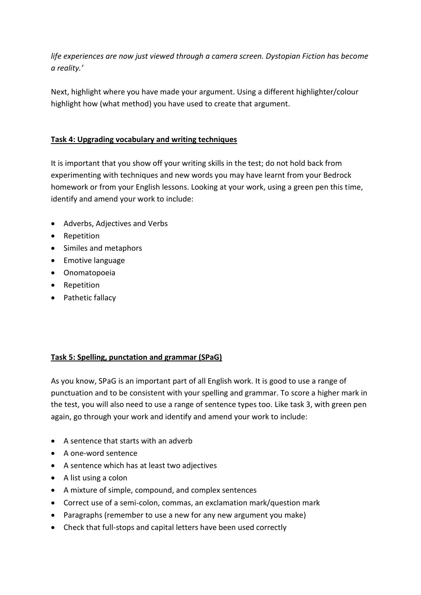*life experiences are now just viewed through a camera screen. Dystopian Fiction has become a reality.'*

Next, highlight where you have made your argument. Using a different highlighter/colour highlight how (what method) you have used to create that argument.

#### **Task 4: Upgrading vocabulary and writing techniques**

It is important that you show off your writing skills in the test; do not hold back from experimenting with techniques and new words you may have learnt from your Bedrock homework or from your English lessons. Looking at your work, using a green pen this time, identify and amend your work to include:

- Adverbs, Adjectives and Verbs
- Repetition
- Similes and metaphors
- Emotive language
- Onomatopoeia
- Repetition
- Pathetic fallacy

#### **Task 5: Spelling, punctation and grammar (SPaG)**

As you know, SPaG is an important part of all English work. It is good to use a range of punctuation and to be consistent with your spelling and grammar. To score a higher mark in the test, you will also need to use a range of sentence types too. Like task 3, with green pen again, go through your work and identify and amend your work to include:

- A sentence that starts with an adverb
- A one-word sentence
- A sentence which has at least two adjectives
- A list using a colon
- A mixture of simple, compound, and complex sentences
- Correct use of a semi-colon, commas, an exclamation mark/question mark
- Paragraphs (remember to use a new for any new argument you make)
- Check that full-stops and capital letters have been used correctly